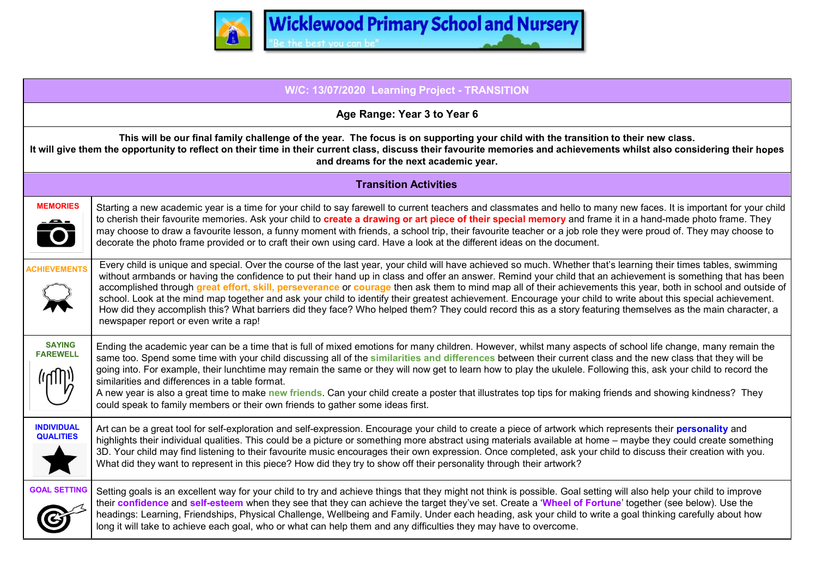

| W/C: 13/07/2020 Learning Project - TRANSITION                                                                                                                                                                                                                                                                                                            |                                                                                                                                                                                                                                                                                                                                                                                                                                                                                                                                                                                                                                                                                                                                                                                                                                                                               |
|----------------------------------------------------------------------------------------------------------------------------------------------------------------------------------------------------------------------------------------------------------------------------------------------------------------------------------------------------------|-------------------------------------------------------------------------------------------------------------------------------------------------------------------------------------------------------------------------------------------------------------------------------------------------------------------------------------------------------------------------------------------------------------------------------------------------------------------------------------------------------------------------------------------------------------------------------------------------------------------------------------------------------------------------------------------------------------------------------------------------------------------------------------------------------------------------------------------------------------------------------|
| Age Range: Year 3 to Year 6                                                                                                                                                                                                                                                                                                                              |                                                                                                                                                                                                                                                                                                                                                                                                                                                                                                                                                                                                                                                                                                                                                                                                                                                                               |
| This will be our final family challenge of the year. The focus is on supporting your child with the transition to their new class.<br>It will give them the opportunity to reflect on their time in their current class, discuss their favourite memories and achievements whilst also considering their hopes<br>and dreams for the next academic year. |                                                                                                                                                                                                                                                                                                                                                                                                                                                                                                                                                                                                                                                                                                                                                                                                                                                                               |
| <b>Transition Activities</b>                                                                                                                                                                                                                                                                                                                             |                                                                                                                                                                                                                                                                                                                                                                                                                                                                                                                                                                                                                                                                                                                                                                                                                                                                               |
| <b>MEMORIES</b><br>Ô                                                                                                                                                                                                                                                                                                                                     | Starting a new academic year is a time for your child to say farewell to current teachers and classmates and hello to many new faces. It is important for your child<br>to cherish their favourite memories. Ask your child to create a drawing or art piece of their special memory and frame it in a hand-made photo frame. They<br>may choose to draw a favourite lesson, a funny moment with friends, a school trip, their favourite teacher or a job role they were proud of. They may choose to<br>decorate the photo frame provided or to craft their own using card. Have a look at the different ideas on the document.                                                                                                                                                                                                                                              |
| <b>ACHIEVEMENTS</b>                                                                                                                                                                                                                                                                                                                                      | Every child is unique and special. Over the course of the last year, your child will have achieved so much. Whether that's learning their times tables, swimming<br>without armbands or having the confidence to put their hand up in class and offer an answer. Remind your child that an achievement is something that has been<br>accomplished through great effort, skill, perseverance or courage then ask them to mind map all of their achievements this year, both in school and outside of<br>school. Look at the mind map together and ask your child to identify their greatest achievement. Encourage your child to write about this special achievement.<br>How did they accomplish this? What barriers did they face? Who helped them? They could record this as a story featuring themselves as the main character, a<br>newspaper report or even write a rap! |
| <b>SAYING</b><br><b>FAREWELL</b><br>زرارابا)                                                                                                                                                                                                                                                                                                             | Ending the academic year can be a time that is full of mixed emotions for many children. However, whilst many aspects of school life change, many remain the<br>same too. Spend some time with your child discussing all of the similarities and differences between their current class and the new class that they will be<br>going into. For example, their lunchtime may remain the same or they will now get to learn how to play the ukulele. Following this, ask your child to record the<br>similarities and differences in a table format.<br>A new year is also a great time to make new friends. Can your child create a poster that illustrates top tips for making friends and showing kindness? They<br>could speak to family members or their own friends to gather some ideas first.                                                                          |
| <b>INDIVIDUAL</b><br><b>QUALITIES</b>                                                                                                                                                                                                                                                                                                                    | Art can be a great tool for self-exploration and self-expression. Encourage your child to create a piece of artwork which represents their personality and<br>highlights their individual qualities. This could be a picture or something more abstract using materials available at home – maybe they could create something<br>3D. Your child may find listening to their favourite music encourages their own expression. Once completed, ask your child to discuss their creation with you.<br>What did they want to represent in this piece? How did they try to show off their personality through their artwork?                                                                                                                                                                                                                                                       |
| <b>GOAL SETTING</b>                                                                                                                                                                                                                                                                                                                                      | Setting goals is an excellent way for your child to try and achieve things that they might not think is possible. Goal setting will also help your child to improve<br>their confidence and self-esteem when they see that they can achieve the target they've set. Create a 'Wheel of Fortune' together (see below). Use the<br>headings: Learning, Friendships, Physical Challenge, Wellbeing and Family. Under each heading, ask your child to write a goal thinking carefully about how<br>long it will take to achieve each goal, who or what can help them and any difficulties they may have to overcome.                                                                                                                                                                                                                                                              |